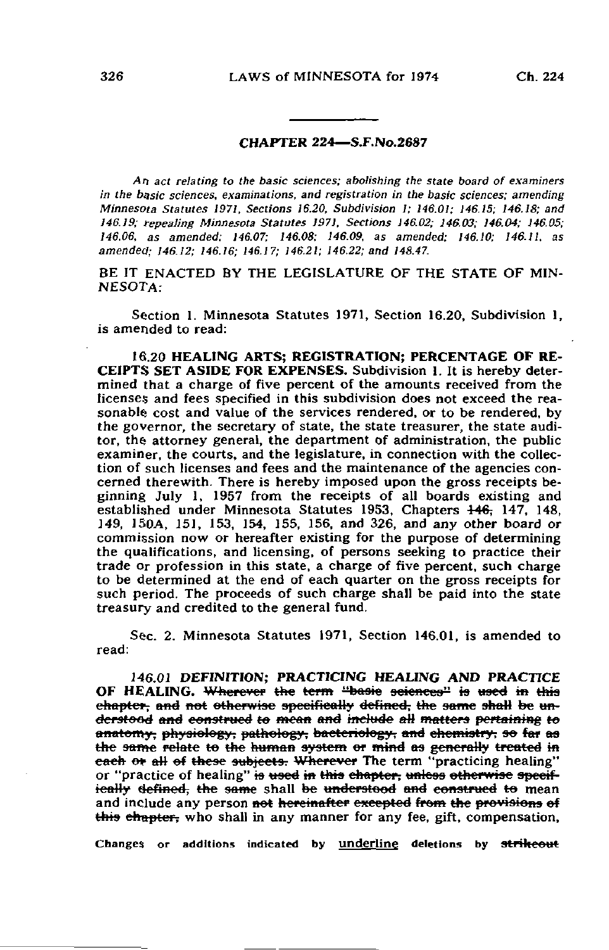## CHAPTER 224—S.F.No.2687

An act relating to the basic sciences; abolishing the state board of examiners in the basic sciences, examinations, and registration in the basic sciences; amending Minnesota Statutes 1971, Sections 16.20, Subdivision I; 146.0!; 146.15; 146.18; and 146.19; repealing Minnesota Statutes 1971. Sections 146.02; 146.03; 146.04; 146.05; 146.06, as amended; 146.07; 146.08; 146.09, as amended; 146.10; 146.11, as amended; 146.12; 146.16; 146.17; 146.21; 146.22; and 148.47.

BE IT ENACTED BY THE LEGISLATURE OF THE STATE OF MIN-NESOTA:

Section 1. Minnesota Statutes 1971, Section 16.20, Subdivision 1, is amended to read:

16.20 HEALING ARTS; REGISTRATION; PERCENTAGE OF RE-CEIPTS SET ASIDE FOR EXPENSES. Subdivision 1. It is hereby determined that a charge of five percent of the amounts received from the licenses and fees specified in this subdivision does not exceed the reasonable cost and value of the services rendered, or to be rendered, by the governor, the secretary of state, the state treasurer, the state auditor, the attorney general, the department of administration, the public examiner, the courts, and the legislature, in connection with the collection of such licenses and fees and the maintenance of the agencies concerned therewith. There is hereby imposed upon the gross receipts beginning July 1, 1957 from the receipts of all boards existing and established under Minnesota Statutes 1953, Chapters  $\frac{146}{147}$ , 148, 149, 150A, 151, 153, 154, 155, 156, and 326, and any other board or commission now or hereafter existing for the purpose of determining the qualifications, and licensing, of persons seeking to practice their trade or profession in this state, a charge of five percent, such charge to be determined at the end of each quarter on the gross receipts for such period. The proceeds of such charge shall be paid into the state treasury and credited to the general fund.

Sec. 2. Minnesota Statutes 1971, Section 146.01, is amended to read:

146.01 DEFINITION; PRACTICING HEALING AND PRACTICE OF HEALING. Wherever the term "basic sciences" is used in this chapter, and not otherwise specifically defined, the same shall be understood and eematrucd to mean and include aH matters pertaining to anatomy, physiology, pathology, bacteriology, and chemistry, so far as the same relate to the human system or mind as generally treated in each or all of these subjects. Wherever The term "practicing healing" or "practice of healing" is used in this chapter, unless otherwise specifieally defined, the same shall be understood and construed to mean and include any person not hereinafter excepted from the provisions of this chapter, who shall in any manner for any fee, gift, compensation,

Changes or additions indicated by underline deletions by strikeout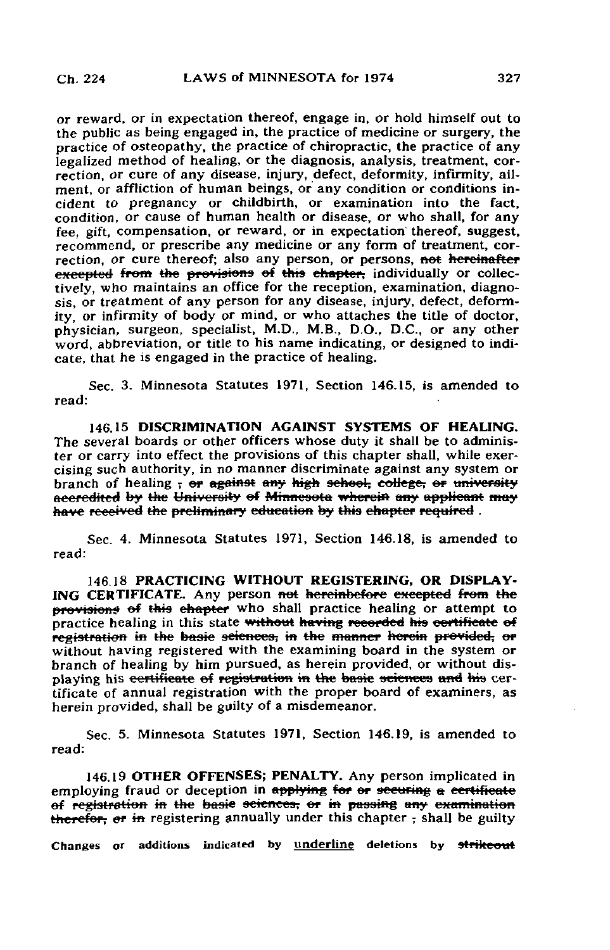or reward, or in expectation thereof, engage in, or hold himself out to the public as being engaged in, the practice of medicine or surgery, the practice of osteopathy, the practice of chiropractic, the practice of any legalized method of healing, or the diagnosis, analysis, treatment, correction, or cure of any disease, injury, defect, deformity, infirmity, ailment, or affliction of human beings, or any condition or conditions incident to pregnancy or childbirth, or examination into the fact, condition, or cause of human health or disease, or who shall, for any fee, gift, compensation, or reward, or in expectation thereof, suggest, recommend, or prescribe any medicine or any form of treatment, correction, or cure thereof; also any person, or persons, <del>not hereinafter</del> execpted from the provisions of this chapter, individually or collectively, who maintains an office for the reception, examination, diagnosis, or treatment of any person for any disease, injury, defect, deformity, or infirmity of body or mind, or who attaches the title of doctor, physician, surgeon, specialist, M.D., M.B., D.O., D.C., or any other word, abbreviation, or title to his name indicating, or designed to indicate, that he is engaged in the practice of healing.

Sec. 3. Minnesota Statutes 1971, Section 146.15, is amended to read:

146.15 DISCRIMINATION AGAINST SYSTEMS OF HEALING. The several boards or other officers whose duty it shall be to administer or carry into effect the provisions of this chapter shall, while exercising such authority, in no manner discriminate against any system or branch of healing  $\frac{1}{x}$  or against any high school, college, or university accredited by the University of Minnesota wherein any applicant may have received the preliminary education by this chapter required.

Sec. 4. Minnesota Statutes 1971, Section 146.18, is amended to read:

146.18 PRACTICING WITHOUT REGISTERING, OR DISPLAY-ING CERTIFICATE. Any person not hereinbefore excepted from the provisions of this chapter who shall practice healing or attempt to practice healing in this state without having recorded his certificate of registration in the basie sciences, in the manner herein provided, or without having registered with the examining board in the system or branch of healing by him pursued, as herein provided, or without displaying his certificate of registration in the basic sciences and his certificate of annual registration with the proper board of examiners, as herein provided, shall be guilty of a misdemeanor.

Sec. 5. Minnesota Statutes 1971, Section 146.19, is amended to read:

146.19 OTHER OFFENSES; PENALTY. Any person implicated in employing fraud or deception in applying for or securing a certificate ef registration in the basic sciences, er in passing any examination therefor, er in registering annually under this chapter - shall be guilty

Changes or additions indicated by underline deletions by strikeout